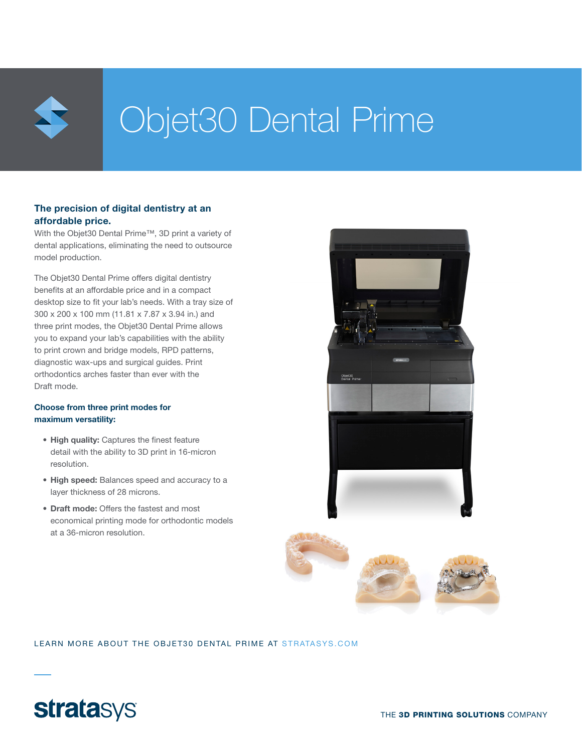

# Objet30 Dental Prime

#### The precision of digital dentistry at an affordable price.

With the Objet30 Dental Prime™, 3D print a variety of dental applications, eliminating the need to outsource model production.

The Objet30 Dental Prime offers digital dentistry benefits at an affordable price and in a compact desktop size to fit your lab's needs. With a tray size of 300 x 200 x 100 mm (11.81 x 7.87 x 3.94 in.) and three print modes, the Objet30 Dental Prime allows you to expand your lab's capabilities with the ability to print crown and bridge models, RPD patterns, diagnostic wax-ups and surgical guides. Print orthodontics arches faster than ever with the Draft mode.

#### Choose from three print modes for maximum versatility:

- High quality: Captures the finest feature detail with the ability to 3D print in 16-micron resolution.
- High speed: Balances speed and accuracy to a layer thickness of 28 microns.
- Draft mode: Offers the fastest and most economical printing mode for orthodontic models at a 36-micron resolution.





#### LEARN MORE ABOUT THE OBJET30 DENTAL PRIME AT STRATASYS.COM